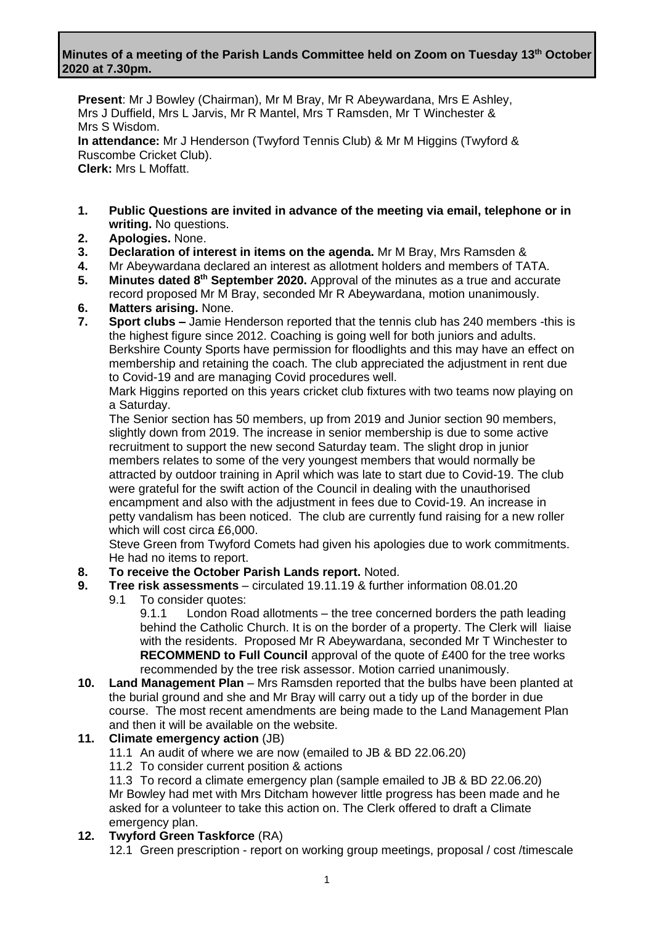### **Minutes of a meeting of the Parish Lands Committee held on Zoom on Tuesday 13th October 2020 at 7.30pm.**

**Present**: Mr J Bowley (Chairman), Mr M Bray, Mr R Abeywardana, Mrs E Ashley, Mrs J Duffield, Mrs L Jarvis, Mr R Mantel, Mrs T Ramsden, Mr T Winchester & Mrs S Wisdom. **In attendance:** Mr J Henderson (Twyford Tennis Club) & Mr M Higgins (Twyford & Ruscombe Cricket Club). **Clerk:** Mrs L Moffatt.

- **1. Public Questions are invited in advance of the meeting via email, telephone or in writing.** No questions.
- **2. Apologies.** None.
- **3. Declaration of interest in items on the agenda.** Mr M Bray, Mrs Ramsden &
- **4.** Mr Abeywardana declared an interest as allotment holders and members of TATA.
- **5.** Minutes dated 8<sup>th</sup> September 2020. Approval of the minutes as a true and accurate record proposed Mr M Bray, seconded Mr R Abeywardana, motion unanimously.
- **6. Matters arising.** None.
- **7. Sport clubs –** Jamie Henderson reported that the tennis club has 240 members -this is the highest figure since 2012. Coaching is going well for both juniors and adults. Berkshire County Sports have permission for floodlights and this may have an effect on membership and retaining the coach. The club appreciated the adjustment in rent due to Covid-19 and are managing Covid procedures well.

Mark Higgins reported on this years cricket club fixtures with two teams now playing on a Saturday.

The Senior section has 50 members, up from 2019 and Junior section 90 members, slightly down from 2019. The increase in senior membership is due to some active recruitment to support the new second Saturday team. The slight drop in junior members relates to some of the very youngest members that would normally be attracted by outdoor training in April which was late to start due to Covid-19. The club were grateful for the swift action of the Council in dealing with the unauthorised encampment and also with the adjustment in fees due to Covid-19. An increase in petty vandalism has been noticed. The club are currently fund raising for a new roller which will cost circa £6,000.

Steve Green from Twyford Comets had given his apologies due to work commitments. He had no items to report.

**8. To receive the October Parish Lands report.** Noted.

### **9. Tree risk assessments** – circulated 19.11.19 & further information 08.01.20

- 9.1 To consider quotes:
	- 9.1.1 London Road allotments the tree concerned borders the path leading behind the Catholic Church. It is on the border of a property. The Clerk will liaise with the residents. Proposed Mr R Abeywardana, seconded Mr T Winchester to **RECOMMEND to Full Council** approval of the quote of £400 for the tree works recommended by the tree risk assessor. Motion carried unanimously.
- **10. Land Management Plan** Mrs Ramsden reported that the bulbs have been planted at the burial ground and she and Mr Bray will carry out a tidy up of the border in due course. The most recent amendments are being made to the Land Management Plan and then it will be available on the website.

### **11. Climate emergency action** (JB)

- 11.1 An audit of where we are now (emailed to JB & BD 22.06.20)
- 11.2 To consider current position & actions

11.3 To record a climate emergency plan (sample emailed to JB & BD 22.06.20) Mr Bowley had met with Mrs Ditcham however little progress has been made and he asked for a volunteer to take this action on. The Clerk offered to draft a Climate emergency plan.

### **12. Twyford Green Taskforce** (RA)

12.1 Green prescription - report on working group meetings, proposal / cost /timescale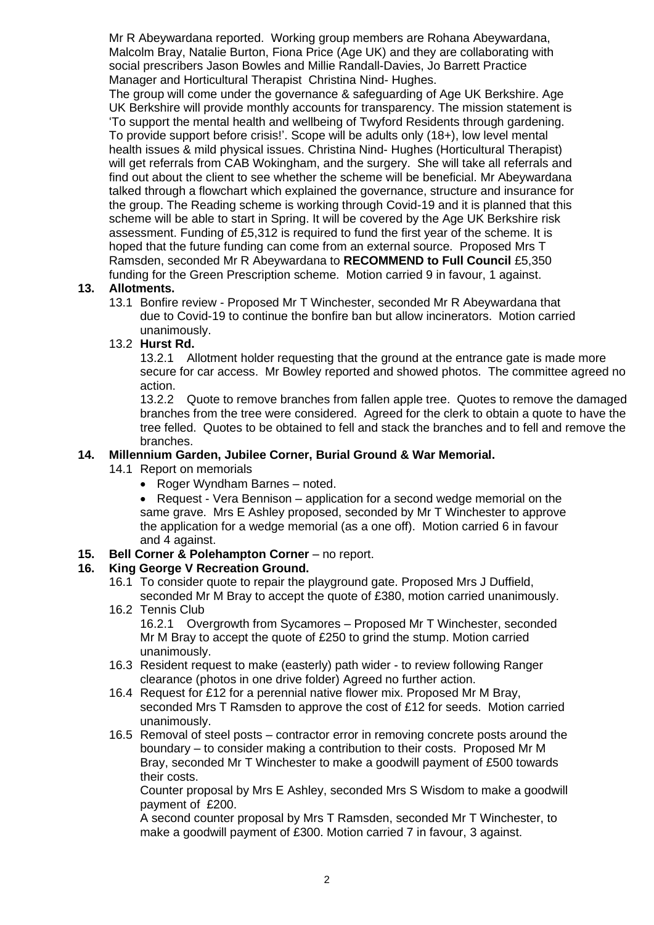Mr R Abeywardana reported. Working group members are Rohana Abeywardana, Malcolm Bray, Natalie Burton, Fiona Price (Age UK) and they are collaborating with social prescribers Jason Bowles and Millie Randall-Davies, Jo Barrett Practice Manager and Horticultural Therapist Christina Nind- Hughes.

The group will come under the governance & safeguarding of Age UK Berkshire. Age UK Berkshire will provide monthly accounts for transparency. The mission statement is 'To support the mental health and wellbeing of Twyford Residents through gardening. To provide support before crisis!'. Scope will be adults only (18+), low level mental health issues & mild physical issues. Christina Nind- Hughes (Horticultural Therapist) will get referrals from CAB Wokingham, and the surgery. She will take all referrals and find out about the client to see whether the scheme will be beneficial. Mr Abeywardana talked through a flowchart which explained the governance, structure and insurance for the group. The Reading scheme is working through Covid-19 and it is planned that this scheme will be able to start in Spring. It will be covered by the Age UK Berkshire risk assessment. Funding of £5,312 is required to fund the first year of the scheme. It is hoped that the future funding can come from an external source. Proposed Mrs T Ramsden, seconded Mr R Abeywardana to **RECOMMEND to Full Council** £5,350 funding for the Green Prescription scheme. Motion carried 9 in favour, 1 against.

### **13. Allotments.**

13.1 Bonfire review - Proposed Mr T Winchester, seconded Mr R Abeywardana that due to Covid-19 to continue the bonfire ban but allow incinerators. Motion carried unanimously.

### 13.2 **Hurst Rd.**

13.2.1 Allotment holder requesting that the ground at the entrance gate is made more secure for car access. Mr Bowley reported and showed photos. The committee agreed no action.

13.2.2 Quote to remove branches from fallen apple tree. Quotes to remove the damaged branches from the tree were considered. Agreed for the clerk to obtain a quote to have the tree felled. Quotes to be obtained to fell and stack the branches and to fell and remove the branches.

### **14. Millennium Garden, Jubilee Corner, Burial Ground & War Memorial.**

- 14.1 Report on memorials
	- Roger Wyndham Barnes noted.

• Request - Vera Bennison – application for a second wedge memorial on the same grave. Mrs E Ashley proposed, seconded by Mr T Winchester to approve the application for a wedge memorial (as a one off). Motion carried 6 in favour and 4 against.

**15. Bell Corner & Polehampton Corner** – no report.

### **16. King George V Recreation Ground.**

- 16.1 To consider quote to repair the playground gate. Proposed Mrs J Duffield, seconded Mr M Bray to accept the quote of £380, motion carried unanimously.
- 16.2 Tennis Club

16.2.1 Overgrowth from Sycamores – Proposed Mr T Winchester, seconded Mr M Bray to accept the quote of £250 to grind the stump. Motion carried unanimously.

- 16.3 Resident request to make (easterly) path wider to review following Ranger clearance (photos in one drive folder) Agreed no further action.
- 16.4 Request for £12 for a perennial native flower mix. Proposed Mr M Bray, seconded Mrs T Ramsden to approve the cost of £12 for seeds. Motion carried unanimously.
- 16.5 Removal of steel posts contractor error in removing concrete posts around the boundary – to consider making a contribution to their costs. Proposed Mr M Bray, seconded Mr T Winchester to make a goodwill payment of £500 towards their costs.

Counter proposal by Mrs E Ashley, seconded Mrs S Wisdom to make a goodwill payment of £200.

A second counter proposal by Mrs T Ramsden, seconded Mr T Winchester, to make a goodwill payment of £300. Motion carried 7 in favour, 3 against.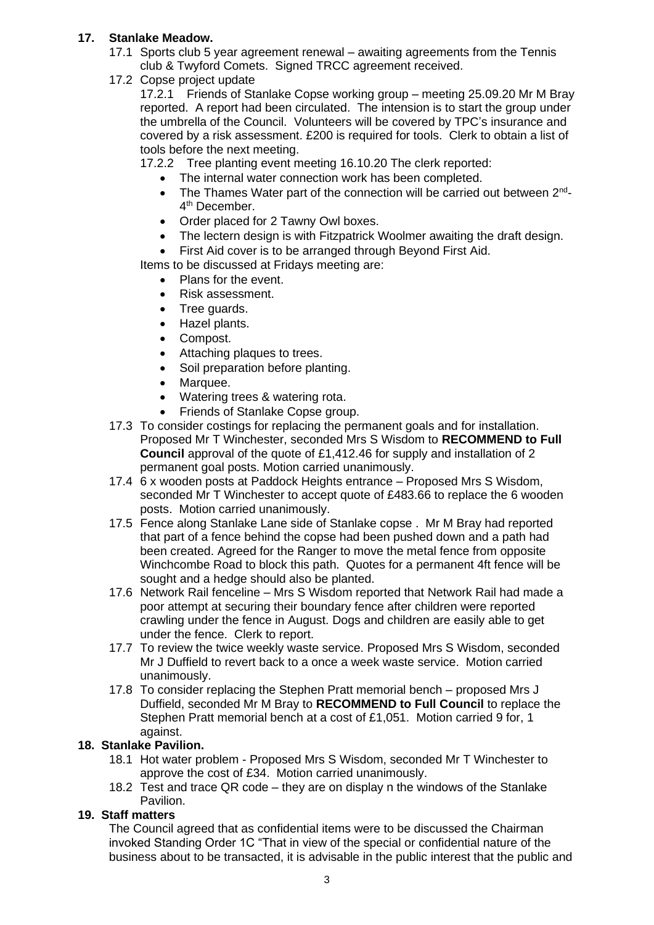# **17. Stanlake Meadow.**

- 17.1 Sports club 5 year agreement renewal awaiting agreements from the Tennis club & Twyford Comets. Signed TRCC agreement received.
- 17.2 Copse project update

17.2.1 Friends of Stanlake Copse working group – meeting 25.09.20 Mr M Bray reported. A report had been circulated. The intension is to start the group under the umbrella of the Council. Volunteers will be covered by TPC's insurance and covered by a risk assessment. £200 is required for tools. Clerk to obtain a list of tools before the next meeting.

17.2.2 Tree planting event meeting 16.10.20 The clerk reported:

- The internal water connection work has been completed.
- The Thames Water part of the connection will be carried out between 2<sup>nd</sup>-4<sup>th</sup> December.
- Order placed for 2 Tawny Owl boxes.
- The lectern design is with Fitzpatrick Woolmer awaiting the draft design.

• First Aid cover is to be arranged through Beyond First Aid.

Items to be discussed at Fridays meeting are:

- Plans for the event.
- Risk assessment.
- Tree guards.
- Hazel plants.
- Compost.
- Attaching plaques to trees.
- Soil preparation before planting.
- Marquee.
- Watering trees & watering rota.
- Friends of Stanlake Copse group.
- 17.3 To consider costings for replacing the permanent goals and for installation. Proposed Mr T Winchester, seconded Mrs S Wisdom to **RECOMMEND to Full Council** approval of the quote of £1,412.46 for supply and installation of 2 permanent goal posts. Motion carried unanimously.
- 17.4 6 x wooden posts at Paddock Heights entrance Proposed Mrs S Wisdom, seconded Mr T Winchester to accept quote of £483.66 to replace the 6 wooden posts. Motion carried unanimously.
- 17.5 Fence along Stanlake Lane side of Stanlake copse . Mr M Bray had reported that part of a fence behind the copse had been pushed down and a path had been created. Agreed for the Ranger to move the metal fence from opposite Winchcombe Road to block this path. Quotes for a permanent 4ft fence will be sought and a hedge should also be planted.
- 17.6 Network Rail fenceline Mrs S Wisdom reported that Network Rail had made a poor attempt at securing their boundary fence after children were reported crawling under the fence in August. Dogs and children are easily able to get under the fence. Clerk to report.
- 17.7 To review the twice weekly waste service. Proposed Mrs S Wisdom, seconded Mr J Duffield to revert back to a once a week waste service. Motion carried unanimously.
- 17.8 To consider replacing the Stephen Pratt memorial bench proposed Mrs J Duffield, seconded Mr M Bray to **RECOMMEND to Full Council** to replace the Stephen Pratt memorial bench at a cost of £1,051. Motion carried 9 for, 1 against.

# **18. Stanlake Pavilion.**

- 18.1 Hot water problem Proposed Mrs S Wisdom, seconded Mr T Winchester to approve the cost of £34. Motion carried unanimously.
- 18.2 Test and trace QR code they are on display n the windows of the Stanlake Pavilion.

# **19. Staff matters**

The Council agreed that as confidential items were to be discussed the Chairman invoked Standing Order 1C "That in view of the special or confidential nature of the business about to be transacted, it is advisable in the public interest that the public and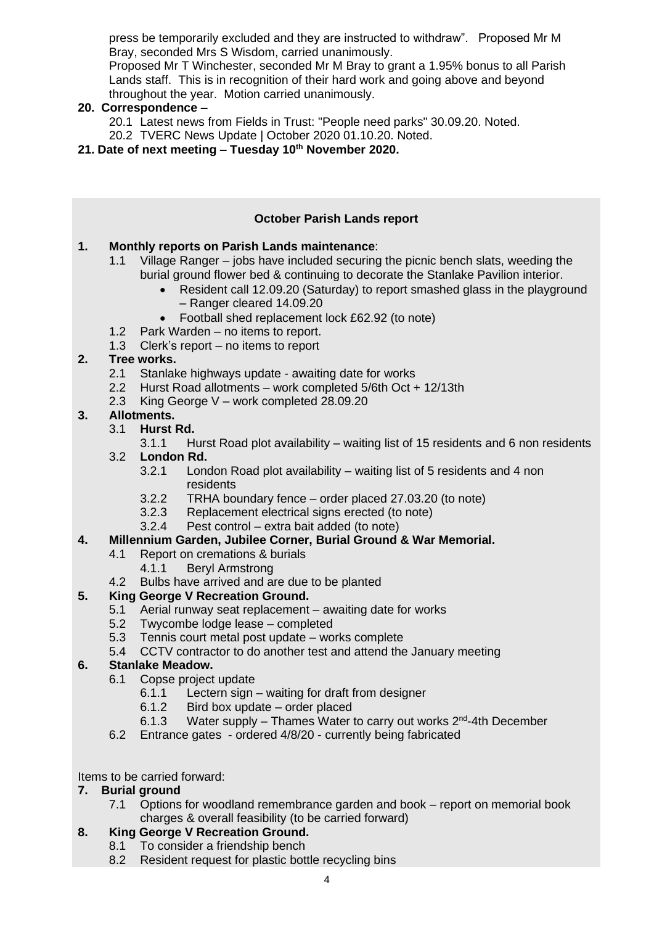press be temporarily excluded and they are instructed to withdraw". Proposed Mr M Bray, seconded Mrs S Wisdom, carried unanimously.

Proposed Mr T Winchester, seconded Mr M Bray to grant a 1.95% bonus to all Parish Lands staff. This is in recognition of their hard work and going above and beyond throughout the year. Motion carried unanimously.

# **20. Correspondence –**

- 20.1 Latest news from Fields in Trust: "People need parks" 30.09.20. Noted.
- 20.2 TVERC News Update | October 2020 01.10.20. Noted.
- **21. Date of next meeting – Tuesday 10th November 2020.**

|    |                                              |                                                            | <b>October Parish Lands report</b>                                                                                |  |
|----|----------------------------------------------|------------------------------------------------------------|-------------------------------------------------------------------------------------------------------------------|--|
| 1. | Monthly reports on Parish Lands maintenance: |                                                            |                                                                                                                   |  |
|    | 1.1                                          |                                                            | Village Ranger – jobs have included securing the picnic bench slats, weeding the                                  |  |
|    |                                              |                                                            | burial ground flower bed & continuing to decorate the Stanlake Pavilion interior.                                 |  |
|    |                                              | $\bullet$                                                  | Resident call 12.09.20 (Saturday) to report smashed glass in the playground<br>- Ranger cleared 14.09.20          |  |
|    |                                              | $\bullet$                                                  | Football shed replacement lock £62.92 (to note)                                                                   |  |
|    |                                              |                                                            | 1.2 Park Warden – no items to report.                                                                             |  |
|    | 1.3                                          |                                                            | Clerk's report $-$ no items to report                                                                             |  |
| 2. | Tree works.                                  |                                                            |                                                                                                                   |  |
|    | 2.1                                          | Stanlake highways update - awaiting date for works         |                                                                                                                   |  |
|    | 2.2                                          | Hurst Road allotments – work completed 5/6th Oct + 12/13th |                                                                                                                   |  |
|    | 2.3                                          | King George $V$ – work completed 28.09.20                  |                                                                                                                   |  |
| 3. | Allotments.                                  |                                                            |                                                                                                                   |  |
|    | 3.1                                          | Hurst Rd.                                                  |                                                                                                                   |  |
|    |                                              | 3.1.1                                                      | Hurst Road plot availability – waiting list of 15 residents and 6 non residents                                   |  |
|    | 3.2                                          | London Rd.                                                 |                                                                                                                   |  |
|    |                                              | 3.2.1                                                      | London Road plot availability – waiting list of 5 residents and 4 non                                             |  |
|    |                                              |                                                            | residents                                                                                                         |  |
|    |                                              | 3.2.2                                                      | TRHA boundary fence - order placed 27.03.20 (to note)                                                             |  |
|    |                                              | 3.2.3                                                      | Replacement electrical signs erected (to note)                                                                    |  |
|    |                                              | 3.2.4                                                      | Pest control – extra bait added (to note)                                                                         |  |
|    |                                              |                                                            | $\blacksquare$ . Let $\blacksquare$ it a $\blacksquare$ . Denial $\blacksquare$ . Let $\blacksquare$ it also then |  |

### **4. Millennium Garden, Jubilee Corner, Burial Ground & War Memorial.**

- 4.1 Report on cremations & burials
	- 4.1.1 Beryl Armstrong
- 4.2 Bulbs have arrived and are due to be planted

# **5. King George V Recreation Ground.**

- 5.1 Aerial runway seat replacement awaiting date for works
- 5.2 Twycombe lodge lease completed
- 5.3 Tennis court metal post update works complete
- 5.4 CCTV contractor to do another test and attend the January meeting

### **6. Stanlake Meadow.**

- 6.1 Copse project update
	- 6.1.1 Lectern sign waiting for draft from designer
	- 6.1.2 Bird box update order placed<br>6.1.3 Water supply Thames Water t
	- 6.1.3 Water supply Thames Water to carry out works 2<sup>nd</sup>-4th December
- 6.2 Entrance gates ordered 4/8/20 currently being fabricated

Items to be carried forward:

### **7. Burial ground**

7.1 Options for woodland remembrance garden and book – report on memorial book charges & overall feasibility (to be carried forward)

# **8. King George V Recreation Ground.**

- 8.1 To consider a friendship bench
- 8.2 Resident request for plastic bottle recycling bins